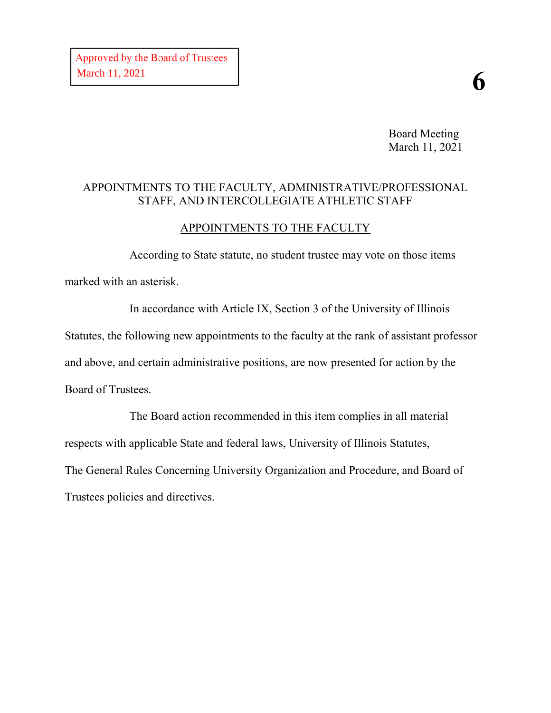Board Meeting March 11, 2021

#### APPOINTMENTS TO THE FACULTY, ADMINISTRATIVE/PROFESSIONAL STAFF, AND INTERCOLLEGIATE ATHLETIC STAFF

### APPOINTMENTS TO THE FACULTY

According to State statute, no student trustee may vote on those items marked with an asterisk.

In accordance with Article IX, Section 3 of the University of Illinois Statutes, the following new appointments to the faculty at the rank of assistant professor and above, and certain administrative positions, are now presented for action by the Board of Trustees.

The Board action recommended in this item complies in all material respects with applicable State and federal laws, University of Illinois Statutes, The General Rules Concerning University Organization and Procedure, and Board of Trustees policies and directives.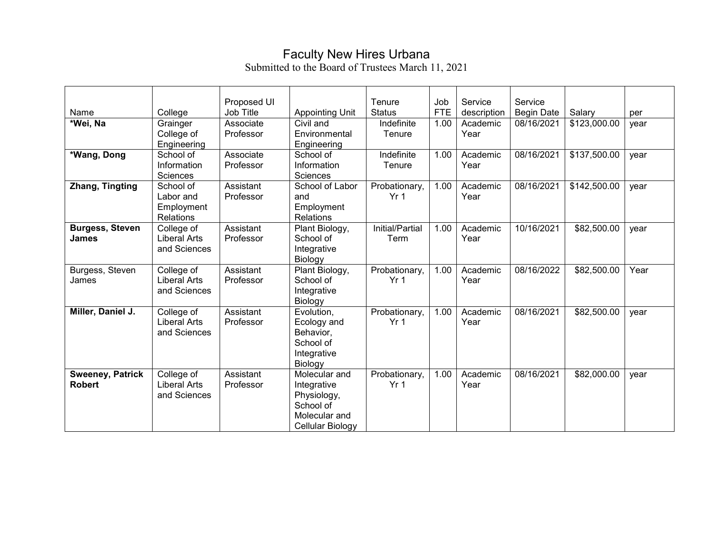## Faculty New Hires Urbana

Submitted to the Board of Trustees March 11, 2021

| Name                                     | College                                                  | Proposed UI<br>Job Title |                                                                                               | Tenure<br><b>Status</b>          | Job<br><b>FTE</b> | Service<br>description | Service                         | Salary       |             |
|------------------------------------------|----------------------------------------------------------|--------------------------|-----------------------------------------------------------------------------------------------|----------------------------------|-------------------|------------------------|---------------------------------|--------------|-------------|
| *Wei, Na                                 | Grainger<br>College of<br>Engineering                    | Associate<br>Professor   | <b>Appointing Unit</b><br>Civil and<br>Environmental<br>Engineering                           | Indefinite<br>Tenure             | 1.00              | Academic<br>Year       | <b>Begin Date</b><br>08/16/2021 | \$123,000.00 | per<br>year |
| *Wang, Dong                              | School of<br>Information<br>Sciences                     | Associate<br>Professor   | School of<br>Information<br>Sciences                                                          | Indefinite<br>Tenure             | 1.00              | Academic<br>Year       | 08/16/2021                      | \$137,500.00 | year        |
| Zhang, Tingting                          | School of<br>Labor and<br>Employment<br><b>Relations</b> | Assistant<br>Professor   | School of Labor<br>and<br>Employment<br>Relations                                             | Probationary,<br>Yr <sub>1</sub> | 1.00              | Academic<br>Year       | 08/16/2021                      | \$142,500.00 | year        |
| <b>Burgess, Steven</b><br>James          | College of<br><b>Liberal Arts</b><br>and Sciences        | Assistant<br>Professor   | Plant Biology,<br>School of<br>Integrative<br>Biology                                         | Initial/Partial<br>Term          | 1.00              | Academic<br>Year       | 10/16/2021                      | \$82,500.00  | year        |
| Burgess, Steven<br>James                 | College of<br><b>Liberal Arts</b><br>and Sciences        | Assistant<br>Professor   | Plant Biology,<br>School of<br>Integrative<br>Biology                                         | Probationary,<br>Yr <sub>1</sub> | 1.00              | Academic<br>Year       | 08/16/2022                      | \$82,500.00  | Year        |
| Miller, Daniel J.                        | College of<br><b>Liberal Arts</b><br>and Sciences        | Assistant<br>Professor   | Evolution,<br>Ecology and<br>Behavior,<br>School of<br>Integrative<br>Biology                 | Probationary,<br>Yr <sub>1</sub> | 1.00              | Academic<br>Year       | 08/16/2021                      | \$82,500.00  | year        |
| <b>Sweeney, Patrick</b><br><b>Robert</b> | College of<br><b>Liberal Arts</b><br>and Sciences        | Assistant<br>Professor   | Molecular and<br>Integrative<br>Physiology,<br>School of<br>Molecular and<br>Cellular Biology | Probationary,<br>Yr <sub>1</sub> | 1.00              | Academic<br>Year       | 08/16/2021                      | \$82,000.00  | year        |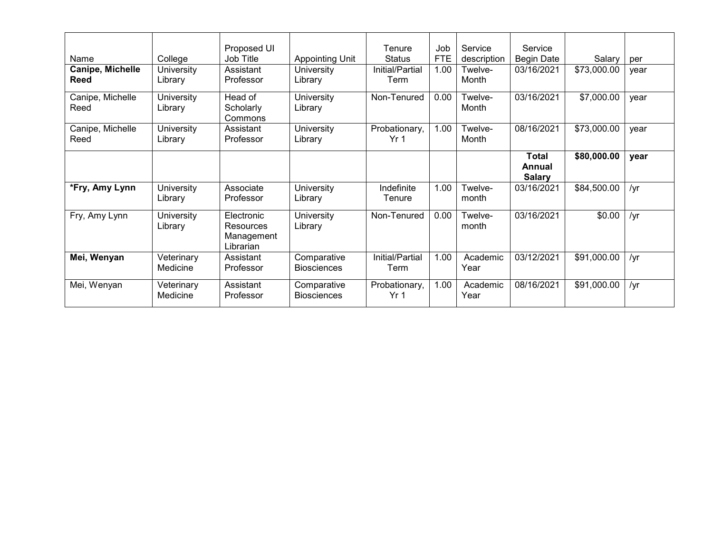| Name                            | College                | Proposed UI<br>Job Title                                  | <b>Appointing Unit</b>            | Tenure<br><b>Status</b> | Job<br><b>FTE</b> | Service<br>description | Service<br><b>Begin Date</b>     | Salary      | per  |
|---------------------------------|------------------------|-----------------------------------------------------------|-----------------------------------|-------------------------|-------------------|------------------------|----------------------------------|-------------|------|
| Canipe, Michelle<br><b>Reed</b> | University<br>Library  | Assistant<br>Professor                                    | University<br>Library             | Initial/Partial<br>Term | 1.00              | Twelve-<br>Month       | 03/16/2021                       | \$73,000.00 | year |
| Canipe, Michelle<br>Reed        | University<br>Library  | Head of<br>Scholarly<br>Commons                           | University<br>Library             | Non-Tenured             | 0.00              | Twelve-<br>Month       | 03/16/2021                       | \$7,000.00  | year |
| Canipe, Michelle<br>Reed        | University<br>Library  | Assistant<br>Professor                                    | University<br>Library             | Probationary,<br>Yr 1   | 1.00              | Twelve-<br>Month       | 08/16/2021                       | \$73,000.00 | year |
|                                 |                        |                                                           |                                   |                         |                   |                        | Total<br>Annual<br><b>Salary</b> | \$80,000.00 | year |
| *Fry, Amy Lynn                  | University<br>Library  | Associate<br>Professor                                    | University<br>Library             | Indefinite<br>Tenure    | 1.00              | Twelve-<br>month       | 03/16/2021                       | \$84,500.00 | /yr  |
| Fry, Amy Lynn                   | University<br>Library  | Electronic<br><b>Resources</b><br>Management<br>Librarian | University<br>Library             | Non-Tenured             | 0.00              | Twelve-<br>month       | 03/16/2021                       | \$0.00      | /yr  |
| Mei, Wenyan                     | Veterinary<br>Medicine | Assistant<br>Professor                                    | Comparative<br><b>Biosciences</b> | Initial/Partial<br>Term | 1.00              | Academic<br>Year       | 03/12/2021                       | \$91,000.00 | /yr  |
| Mei, Wenyan                     | Veterinary<br>Medicine | Assistant<br>Professor                                    | Comparative<br><b>Biosciences</b> | Probationary,<br>Yr 1   | 1.00              | Academic<br>Year       | 08/16/2021                       | \$91,000.00 | /yr  |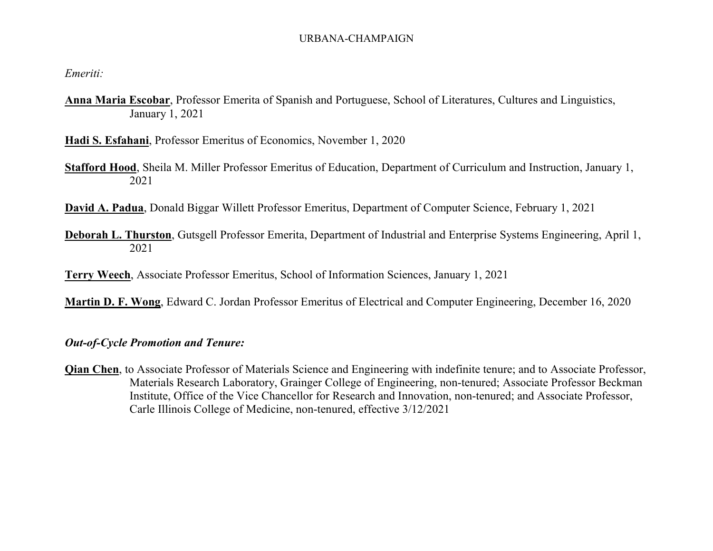#### URBANA-CHAMPAIGN

*Emeriti:*

**Anna Maria Escobar**, Professor Emerita of Spanish and Portuguese, School of Literatures, Cultures and Linguistics, January 1, 2021

**Hadi S. Esfahani**, Professor Emeritus of Economics, November 1, 2020

**Stafford Hood**, Sheila M. Miller Professor Emeritus of Education, Department of Curriculum and Instruction, January 1, 2021

**David A. Padua**, Donald Biggar Willett Professor Emeritus, Department of Computer Science, February 1, 2021

**Deborah L. Thurston**, Gutsgell Professor Emerita, Department of Industrial and Enterprise Systems Engineering, April 1, 2021

**Terry Weech**, Associate Professor Emeritus, School of Information Sciences, January 1, 2021

**Martin D. F. Wong**, Edward C. Jordan Professor Emeritus of Electrical and Computer Engineering, December 16, 2020

#### *Out-of-Cycle Promotion and Tenure:*

**Qian Chen**, to Associate Professor of Materials Science and Engineering with indefinite tenure; and to Associate Professor, Materials Research Laboratory, Grainger College of Engineering, non-tenured; Associate Professor Beckman Institute, Office of the Vice Chancellor for Research and Innovation, non-tenured; and Associate Professor, Carle Illinois College of Medicine, non-tenured, effective 3/12/2021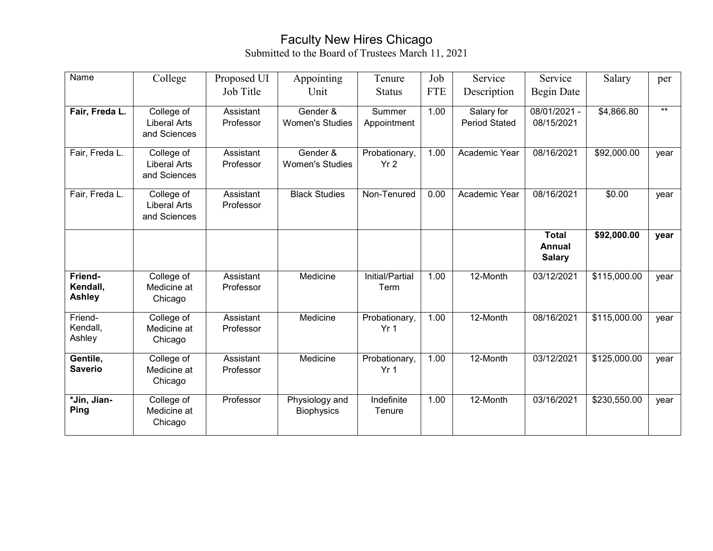# Faculty New Hires Chicago

Submitted to the Board of Trustees March 11, 2021

| Name                          | College                                           | Proposed UI            | Appointing                          | Tenure                           | Job        | Service                            | Service                                 | Salary       | per   |
|-------------------------------|---------------------------------------------------|------------------------|-------------------------------------|----------------------------------|------------|------------------------------------|-----------------------------------------|--------------|-------|
|                               |                                                   | Job Title              | Unit                                | <b>Status</b>                    | <b>FTE</b> | Description                        | Begin Date                              |              |       |
| Fair, Freda L.                | College of<br><b>Liberal Arts</b><br>and Sciences | Assistant<br>Professor | Gender &<br><b>Women's Studies</b>  | Summer<br>Appointment            | 1.00       | Salary for<br><b>Period Stated</b> | $08/01/2021 -$<br>08/15/2021            | \$4,866.80   | $***$ |
| Fair, Freda L.                | College of<br><b>Liberal Arts</b><br>and Sciences | Assistant<br>Professor | Gender &<br><b>Women's Studies</b>  | Probationary,<br>Yr <sub>2</sub> | 1.00       | Academic Year                      | 08/16/2021                              | \$92,000.00  | year  |
| Fair, Freda L.                | College of<br><b>Liberal Arts</b><br>and Sciences | Assistant<br>Professor | <b>Black Studies</b>                | Non-Tenured                      | 0.00       | Academic Year                      | 08/16/2021                              | \$0.00       | year  |
|                               |                                                   |                        |                                     |                                  |            |                                    | <b>Total</b><br>Annual<br><b>Salary</b> | \$92,000.00  | year  |
| Friend-<br>Kendall,<br>Ashley | College of<br>Medicine at<br>Chicago              | Assistant<br>Professor | Medicine                            | Initial/Partial<br>Term          | 1.00       | 12-Month                           | 03/12/2021                              | \$115,000.00 | year  |
| Friend-<br>Kendall,<br>Ashley | College of<br>Medicine at<br>Chicago              | Assistant<br>Professor | Medicine                            | Probationary,<br>Yr <sub>1</sub> | 1.00       | 12-Month                           | 08/16/2021                              | \$115,000.00 | year  |
| Gentile,<br><b>Saverio</b>    | College of<br>Medicine at<br>Chicago              | Assistant<br>Professor | Medicine                            | Probationary,<br>Yr <sub>1</sub> | 1.00       | 12-Month                           | 03/12/2021                              | \$125,000.00 | year  |
| *Jin, Jian-<br>Ping           | College of<br>Medicine at<br>Chicago              | Professor              | Physiology and<br><b>Biophysics</b> | Indefinite<br>Tenure             | 1.00       | 12-Month                           | 03/16/2021                              | \$230,550.00 | year  |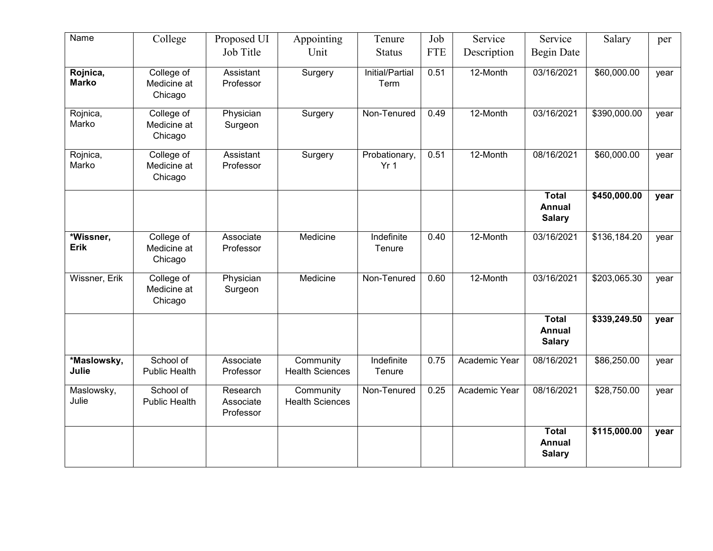| Name                     | College                              | Proposed UI                        | Appointing                          | Tenure                           | Job        | Service       | Service                                        | Salary       | per  |
|--------------------------|--------------------------------------|------------------------------------|-------------------------------------|----------------------------------|------------|---------------|------------------------------------------------|--------------|------|
|                          |                                      | Job Title                          | Unit                                | <b>Status</b>                    | <b>FTE</b> | Description   | <b>Begin Date</b>                              |              |      |
| Rojnica,<br><b>Marko</b> | College of<br>Medicine at<br>Chicago | Assistant<br>Professor             | Surgery                             | Initial/Partial<br>Term          | 0.51       | 12-Month      | 03/16/2021                                     | \$60,000.00  | year |
| Rojnica,<br>Marko        | College of<br>Medicine at<br>Chicago | Physician<br>Surgeon               | Surgery                             | Non-Tenured                      | 0.49       | 12-Month      | 03/16/2021                                     | \$390,000.00 | year |
| Rojnica,<br>Marko        | College of<br>Medicine at<br>Chicago | Assistant<br>Professor             | Surgery                             | Probationary,<br>Yr <sub>1</sub> | 0.51       | 12-Month      | 08/16/2021                                     | \$60,000.00  | year |
|                          |                                      |                                    |                                     |                                  |            |               | <b>Total</b><br><b>Annual</b><br><b>Salary</b> | \$450,000.00 | year |
| *Wissner,<br><b>Erik</b> | College of<br>Medicine at<br>Chicago | Associate<br>Professor             | Medicine                            | Indefinite<br>Tenure             | 0.40       | 12-Month      | 03/16/2021                                     | \$136,184.20 | year |
| Wissner, Erik            | College of<br>Medicine at<br>Chicago | Physician<br>Surgeon               | Medicine                            | Non-Tenured                      | 0.60       | 12-Month      | 03/16/2021                                     | \$203,065.30 | year |
|                          |                                      |                                    |                                     |                                  |            |               | <b>Total</b><br><b>Annual</b><br><b>Salary</b> | \$339,249.50 | year |
| *Maslowsky,<br>Julie     | School of<br><b>Public Health</b>    | Associate<br>Professor             | Community<br><b>Health Sciences</b> | Indefinite<br>Tenure             | 0.75       | Academic Year | 08/16/2021                                     | \$86,250.00  | year |
| Maslowsky,<br>Julie      | School of<br><b>Public Health</b>    | Research<br>Associate<br>Professor | Community<br><b>Health Sciences</b> | Non-Tenured                      | 0.25       | Academic Year | 08/16/2021                                     | \$28,750.00  | year |
|                          |                                      |                                    |                                     |                                  |            |               | <b>Total</b><br>Annual<br><b>Salary</b>        | \$115,000.00 | year |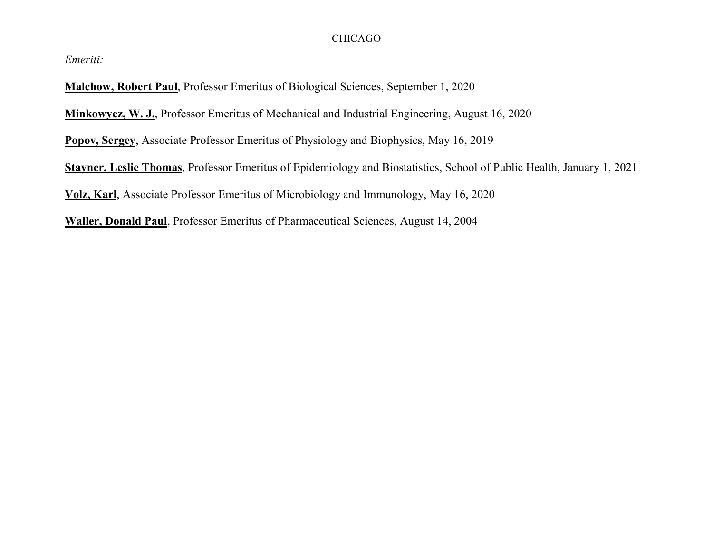#### CHICAGO

*Emeriti:*

**Malchow, Robert Paul**, Professor Emeritus of Biological Sciences, September 1, 2020

**Minkowycz, W. J.**, Professor Emeritus of Mechanical and Industrial Engineering, August 16, 2020

**Popov, Sergey**, Associate Professor Emeritus of Physiology and Biophysics, May 16, 2019

**Stayner, Leslie Thomas**, Professor Emeritus of Epidemiology and Biostatistics, School of Public Health, January 1, 2021

**Volz, Karl**, Associate Professor Emeritus of Microbiology and Immunology, May 16, 2020

**Waller, Donald Paul**, Professor Emeritus of Pharmaceutical Sciences, August 14, 2004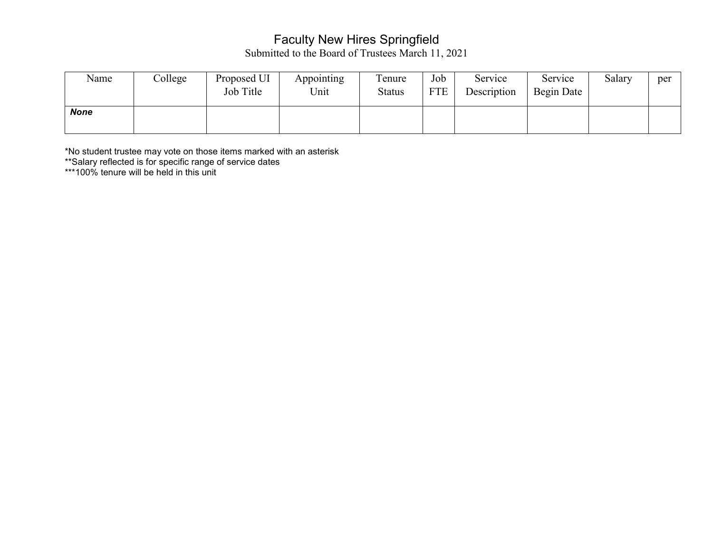## Faculty New Hires Springfield

Submitted to the Board of Trustees March 11, 2021

| Name | College | Proposed UI<br>Job Title | Appointing<br>Unit | Tenure<br><b>Status</b> | Job<br><b>FTE</b> | Service<br>Description | Service<br>Begin Date | Salary | per |
|------|---------|--------------------------|--------------------|-------------------------|-------------------|------------------------|-----------------------|--------|-----|
| None |         |                          |                    |                         |                   |                        |                       |        |     |

\*No student trustee may vote on those items marked with an asterisk

\*\*Salary reflected is for specific range of service dates

\*\*\*100% tenure will be held in this unit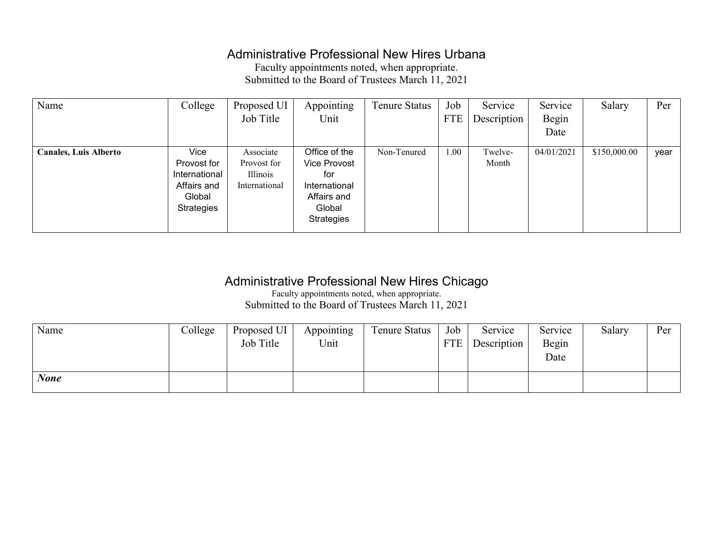## Administrative Professional New Hires Urbana

Faculty appointments noted, when appropriate. Submitted to the Board of Trustees March 11, 2021

| Name                         | College                                                                     | Proposed UI                                           | Appointing                                                                                          | Tenure Status | Job        | Service          | Service    | Salary       | Per  |
|------------------------------|-----------------------------------------------------------------------------|-------------------------------------------------------|-----------------------------------------------------------------------------------------------------|---------------|------------|------------------|------------|--------------|------|
|                              |                                                                             | Job Title                                             | Unit                                                                                                |               | <b>FTE</b> | Description      | Begin      |              |      |
|                              |                                                                             |                                                       |                                                                                                     |               |            |                  | Date       |              |      |
| <b>Canales, Luis Alberto</b> | Vice<br>Provost for<br>International<br>Affairs and<br>Global<br>Strategies | Associate<br>Provost for<br>Illinois<br>International | Office of the<br>Vice Provost<br>for<br>International<br>Affairs and<br>Global<br><b>Strategies</b> | Non-Tenured   | 1.00       | Twelve-<br>Month | 04/01/2021 | \$150,000.00 | year |

### Administrative Professional New Hires Chicago

Faculty appointments noted, when appropriate. Submitted to the Board of Trustees March 11, 2021

| Name        | College | Proposed UI | Appointing | <b>Tenure Status</b> | Job        | Service     | Service | Salary | Per |
|-------------|---------|-------------|------------|----------------------|------------|-------------|---------|--------|-----|
|             |         | Job Title   | Unit       |                      | <b>FTE</b> | Description | Begin   |        |     |
|             |         |             |            |                      |            |             | Date    |        |     |
|             |         |             |            |                      |            |             |         |        |     |
| <b>None</b> |         |             |            |                      |            |             |         |        |     |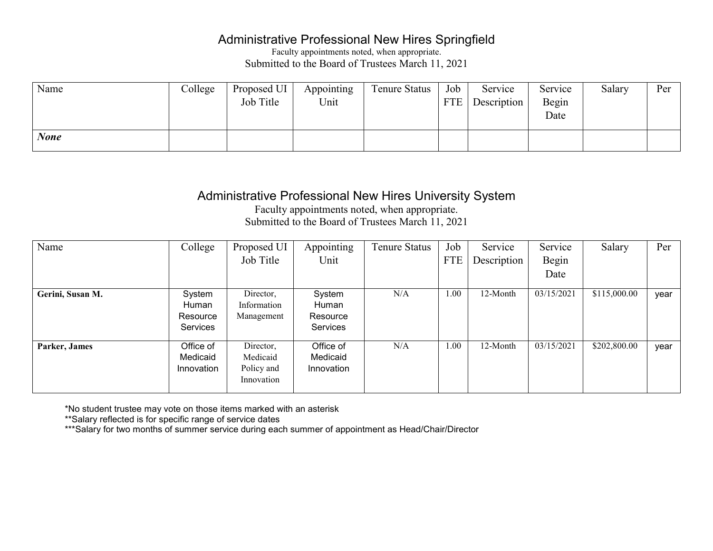### Administrative Professional New Hires Springfield

Faculty appointments noted, when appropriate. Submitted to the Board of Trustees March 11, 2021

| Name        | College | Proposed UI | Appointing | <b>Tenure Status</b> | Job | Service     | Service | Salary | Per |
|-------------|---------|-------------|------------|----------------------|-----|-------------|---------|--------|-----|
|             |         | Job Title   | Unit       |                      | FTE | Description | Begin   |        |     |
|             |         |             |            |                      |     |             | Date    |        |     |
|             |         |             |            |                      |     |             |         |        |     |
| <b>None</b> |         |             |            |                      |     |             |         |        |     |

### Administrative Professional New Hires University System

Faculty appointments noted, when appropriate. Submitted to the Board of Trustees March 11, 2021

| Name             | College                                 | Proposed UI<br>Job Title                          | Appointing<br>Unit                      | <b>Tenure Status</b> | Job<br><b>FTE</b> | Service<br>Description | Service<br>Begin<br>Date | Salary       | Per  |
|------------------|-----------------------------------------|---------------------------------------------------|-----------------------------------------|----------------------|-------------------|------------------------|--------------------------|--------------|------|
|                  |                                         |                                                   |                                         |                      |                   |                        |                          |              |      |
| Gerini, Susan M. | System<br>Human<br>Resource<br>Services | Director,<br>Information<br>Management            | System<br>Human<br>Resource<br>Services | N/A                  | 1.00              | 12-Month               | 03/15/2021               | \$115,000.00 | year |
| Parker, James    | Office of<br>Medicaid<br>Innovation     | Director,<br>Medicaid<br>Policy and<br>Innovation | Office of<br>Medicaid<br>Innovation     | N/A                  | 1.00              | 12-Month               | 03/15/2021               | \$202,800.00 | year |

\*No student trustee may vote on those items marked with an asterisk

\*\*Salary reflected is for specific range of service dates

\*\*\*Salary for two months of summer service during each summer of appointment as Head/Chair/Director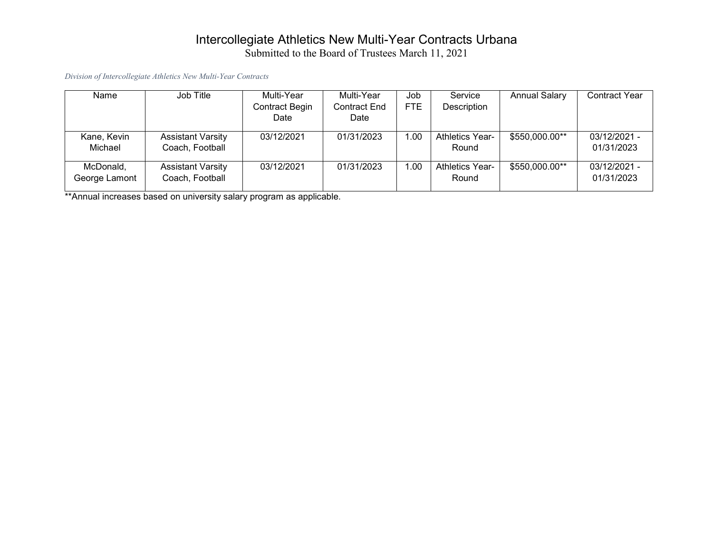### Intercollegiate Athletics New Multi-Year Contracts Urbana Submitted to the Board of Trustees March 11, 2021

*Division of Intercollegiate Athletics New Multi-Year Contracts*

| Name                       | Job Title                                   | Multi-Year<br>Contract Begin<br>Date | Multi-Year<br><b>Contract End</b><br>Date | Job<br><b>FTE</b> | Service<br>Description          | <b>Annual Salary</b> | <b>Contract Year</b>         |
|----------------------------|---------------------------------------------|--------------------------------------|-------------------------------------------|-------------------|---------------------------------|----------------------|------------------------------|
| Kane, Kevin<br>Michael     | <b>Assistant Varsity</b><br>Coach, Football | 03/12/2021                           | 01/31/2023                                | 1.00              | <b>Athletics Year-</b><br>Round | \$550,000.00**       | $03/12/2021 -$<br>01/31/2023 |
| McDonald,<br>George Lamont | <b>Assistant Varsity</b><br>Coach, Football | 03/12/2021                           | 01/31/2023                                | 1.00              | <b>Athletics Year-</b><br>Round | \$550,000.00**       | $03/12/2021 -$<br>01/31/2023 |

\*\*Annual increases based on university salary program as applicable.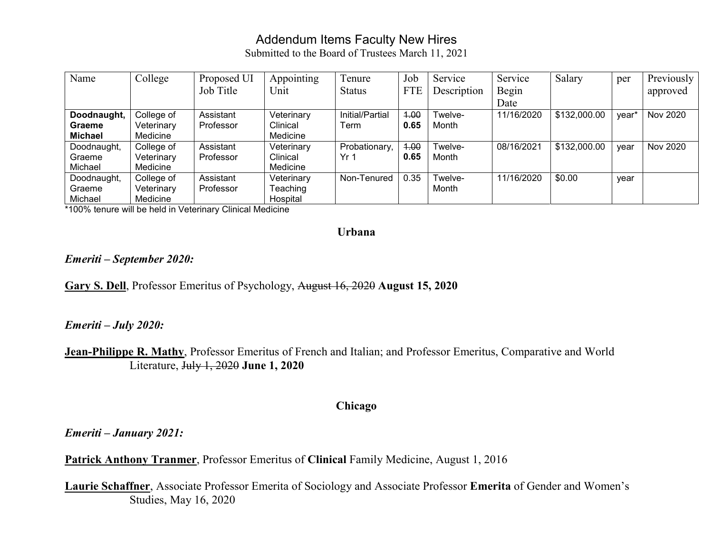## Addendum Items Faculty New Hires

Submitted to the Board of Trustees March 11, 2021

| Name           | College    | Proposed UI | Appointing | Tenure          | Job        | Service     | Service    | Salary       | per   | Previously |
|----------------|------------|-------------|------------|-----------------|------------|-------------|------------|--------------|-------|------------|
|                |            | Job Title   | Unit       | <b>Status</b>   | <b>FTE</b> | Description | Begin      |              |       | approved   |
|                |            |             |            |                 |            |             | Date       |              |       |            |
| Doodnaught,    | College of | Assistant   | Veterinary | Initial/Partial | 4.00       | Twelve-     | 11/16/2020 | \$132,000.00 | vear* | Nov 2020   |
| Graeme         | Veterinary | Professor   | Clinical   | Term            | 0.65       | Month       |            |              |       |            |
| <b>Michael</b> | Medicine   |             | Medicine   |                 |            |             |            |              |       |            |
| Doodnaught,    | College of | Assistant   | Veterinary | Probationary,   | 4.00       | Twelve-     | 08/16/2021 | \$132,000.00 | year  | Nov 2020   |
| Graeme         | Veterinary | Professor   | Clinical   | Yr 1            | 0.65       | Month       |            |              |       |            |
| Michael        | Medicine   |             | Medicine   |                 |            |             |            |              |       |            |
| Doodnaught,    | College of | Assistant   | Veterinary | Non-Tenured     | 0.35       | Twelve-     | 11/16/2020 | \$0.00       | year  |            |
| Graeme         | Veterinary | Professor   | Teaching   |                 |            | Month       |            |              |       |            |
| Michael        | Medicine   |             | Hospital   |                 |            |             |            |              |       |            |

\*100% tenure will be held in Veterinary Clinical Medicine

#### **Urbana**

#### *Emeriti – September 2020:*

**Gary S. Dell**, Professor Emeritus of Psychology, August 16, 2020 **August 15, 2020**

#### *Emeriti – July 2020:*

**Jean-Philippe R. Mathy**, Professor Emeritus of French and Italian; and Professor Emeritus, Comparative and World Literature, July 1, 2020 **June 1, 2020**

#### **Chicago**

*Emeriti – January 2021:*

**Patrick Anthony Tranmer**, Professor Emeritus of **Clinical** Family Medicine, August 1, 2016

**Laurie Schaffner**, Associate Professor Emerita of Sociology and Associate Professor **Emerita** of Gender and Women's Studies, May 16, 2020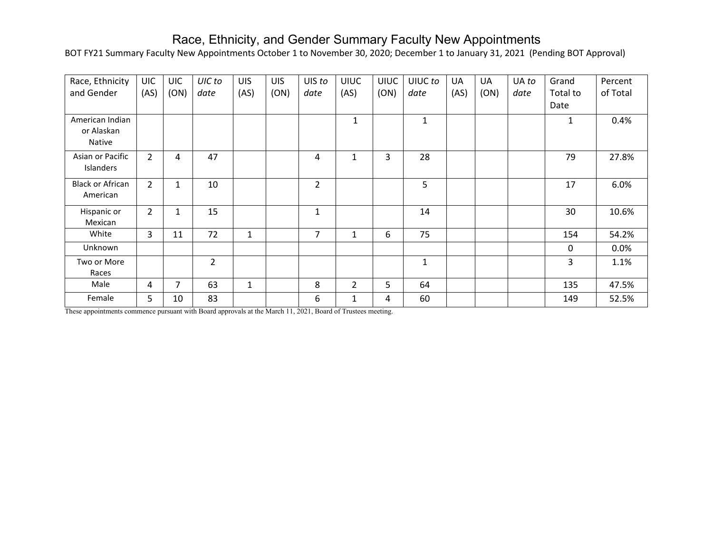## Race, Ethnicity, and Gender Summary Faculty New Appointments

BOT FY21 Summary Faculty New Appointments October 1 to November 30, 2020; December 1 to January 31, 2021 (Pending BOT Approval)

| Race, Ethnicity<br>and Gender           | UIC.<br>(AS)   | <b>UIC</b><br>(ON) | UIC to<br>date           | <b>UIS</b><br>(AS) | <b>UIS</b><br>(ON) | UIS to<br>date | <b>UIUC</b><br>(AS) | <b>UIUC</b><br>(ON) | UIUC to<br>date | UA<br>(AS) | <b>UA</b><br>(ON) | UA to<br>date | Grand<br>Total to | Percent<br>of Total |
|-----------------------------------------|----------------|--------------------|--------------------------|--------------------|--------------------|----------------|---------------------|---------------------|-----------------|------------|-------------------|---------------|-------------------|---------------------|
|                                         |                |                    |                          |                    |                    |                |                     |                     |                 |            |                   |               | Date              |                     |
| American Indian<br>or Alaskan<br>Native |                |                    |                          |                    |                    |                | 1                   |                     | $\mathbf{1}$    |            |                   |               | 1                 | 0.4%                |
| Asian or Pacific<br>Islanders           | $\overline{2}$ | 4                  | 47                       |                    |                    | 4              | 1                   | 3                   | 28              |            |                   |               | 79                | 27.8%               |
| <b>Black or African</b><br>American     | $\overline{2}$ | $\mathbf{1}$       | 10                       |                    |                    | $\overline{2}$ |                     |                     | 5               |            |                   |               | 17                | 6.0%                |
| Hispanic or<br>Mexican                  | $\overline{2}$ | 1                  | 15                       |                    |                    | $\mathbf{1}$   |                     |                     | 14              |            |                   |               | 30                | 10.6%               |
| White                                   | 3              | 11                 | 72                       | 1                  |                    | $\overline{7}$ |                     | 6                   | 75              |            |                   |               | 154               | 54.2%               |
| Unknown                                 |                |                    |                          |                    |                    |                |                     |                     |                 |            |                   |               | $\mathbf{0}$      | 0.0%                |
| Two or More<br>Races                    |                |                    | $\overline{\mathcal{L}}$ |                    |                    |                |                     |                     | 1               |            |                   |               | 3                 | 1.1%                |
| Male                                    | 4              | 7                  | 63                       | $\mathbf{1}$       |                    | 8              | $\overline{2}$      | 5                   | 64              |            |                   |               | 135               | 47.5%               |
| Female                                  | 5              | 10                 | 83                       |                    |                    | 6              | 1                   | 4                   | 60              |            |                   |               | 149               | 52.5%               |

These appointments commence pursuant with Board approvals at the March 11, 2021, Board of Trustees meeting.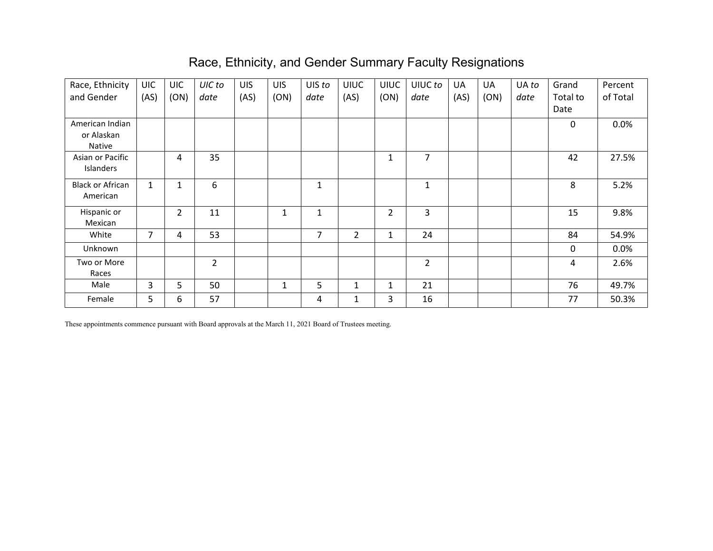## Race, Ethnicity, and Gender Summary Faculty Resignations

| Race, Ethnicity               | <b>UIC</b>   | <b>UIC</b>     | UIC to         | <b>UIS</b> | <b>UIS</b> | UIS to         | <b>UIUC</b>    | <b>UIUC</b>  | UIUC to        | <b>UA</b> | UA   | UA to | Grand    | Percent  |
|-------------------------------|--------------|----------------|----------------|------------|------------|----------------|----------------|--------------|----------------|-----------|------|-------|----------|----------|
| and Gender                    | (AS)         | (ON)           | date           | (AS)       | (ON)       | date           | (AS)           | (ON)         | date           | (AS)      | (ON) | date  | Total to | of Total |
|                               |              |                |                |            |            |                |                |              |                |           |      |       | Date     |          |
| American Indian               |              |                |                |            |            |                |                |              |                |           |      |       | 0        | 0.0%     |
| or Alaskan                    |              |                |                |            |            |                |                |              |                |           |      |       |          |          |
| Native                        |              |                |                |            |            |                |                |              |                |           |      |       |          |          |
| Asian or Pacific<br>Islanders |              | 4              | 35             |            |            |                |                | 1            | $\overline{7}$ |           |      |       | 42       | 27.5%    |
|                               |              |                |                |            |            |                |                |              |                |           |      |       |          |          |
| <b>Black or African</b>       | $\mathbf{1}$ | 1              | 6              |            |            | $\mathbf{1}$   |                |              | $\mathbf{1}$   |           |      |       | 8        | 5.2%     |
| American                      |              |                |                |            |            |                |                |              |                |           |      |       |          |          |
| Hispanic or                   |              | $\overline{2}$ | 11             |            | 1          | $\mathbf{1}$   |                | 2            | 3              |           |      |       | 15       | 9.8%     |
| Mexican                       |              |                |                |            |            |                |                |              |                |           |      |       |          |          |
| White                         | 7            | 4              | 53             |            |            | $\overline{7}$ | $\overline{2}$ | $\mathbf{1}$ | 24             |           |      |       | 84       | 54.9%    |
| Unknown                       |              |                |                |            |            |                |                |              |                |           |      |       | 0        | 0.0%     |
| Two or More                   |              |                | $\overline{2}$ |            |            |                |                |              | $\overline{2}$ |           |      |       | 4        | 2.6%     |
| Races                         |              |                |                |            |            |                |                |              |                |           |      |       |          |          |
| Male                          | 3            | 5              | 50             |            | 1          | 5              | $\mathbf{1}$   | 1            | 21             |           |      |       | 76       | 49.7%    |
| Female                        | 5            | 6              | 57             |            |            | 4              | 1              | 3            | 16             |           |      |       | 77       | 50.3%    |

These appointments commence pursuant with Board approvals at the March 11, 2021 Board of Trustees meeting.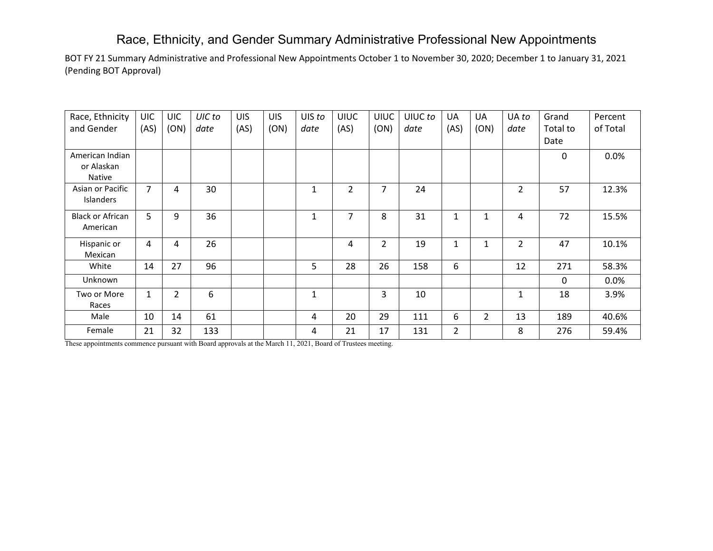## Race, Ethnicity, and Gender Summary Administrative Professional New Appointments

BOT FY 21 Summary Administrative and Professional New Appointments October 1 to November 30, 2020; December 1 to January 31, 2021 (Pending BOT Approval)

| Race, Ethnicity         | <b>UIC</b>     | <b>UIC</b>     | UIC to | <b>UIS</b> | <b>UIS</b> | UIS to       | <b>UIUC</b> | <b>UIUC</b>    | UIUC to | UA             | <b>UA</b>      | UA to          | Grand        | Percent  |
|-------------------------|----------------|----------------|--------|------------|------------|--------------|-------------|----------------|---------|----------------|----------------|----------------|--------------|----------|
| and Gender              | (AS)           | (ON)           | date   | (AS)       | (ON)       | date         | (AS)        | (ON)           | date    | (AS)           | (ON)           | date           | Total to     | of Total |
|                         |                |                |        |            |            |              |             |                |         |                |                |                | Date         |          |
| American Indian         |                |                |        |            |            |              |             |                |         |                |                |                | 0            | 0.0%     |
| or Alaskan              |                |                |        |            |            |              |             |                |         |                |                |                |              |          |
| Native                  |                |                |        |            |            |              |             |                |         |                |                |                |              |          |
| Asian or Pacific        | $\overline{7}$ | 4              | 30     |            |            | $\mathbf{1}$ | 2           | 7              | 24      |                |                | $\overline{2}$ | 57           | 12.3%    |
| Islanders               |                |                |        |            |            |              |             |                |         |                |                |                |              |          |
| <b>Black or African</b> | 5 <sup>1</sup> | 9              | 36     |            |            | $\mathbf{1}$ | 7           | 8              | 31      | 1              | 1              | 4              | 72           | 15.5%    |
| American                |                |                |        |            |            |              |             |                |         |                |                |                |              |          |
| Hispanic or             | 4              | 4              | 26     |            |            |              | 4           | $\overline{2}$ | 19      | 1              | 1              | $\overline{2}$ | 47           | 10.1%    |
| Mexican                 |                |                |        |            |            |              |             |                |         |                |                |                |              |          |
| White                   | 14             | 27             | 96     |            |            | 5            | 28          | 26             | 158     | 6              |                | 12             | 271          | 58.3%    |
| Unknown                 |                |                |        |            |            |              |             |                |         |                |                |                | $\mathbf{0}$ | $0.0\%$  |
| Two or More             | 1              | $\overline{2}$ | 6      |            |            | $\mathbf{1}$ |             | 3              | 10      |                |                | 1              | 18           | 3.9%     |
| Races                   |                |                |        |            |            |              |             |                |         |                |                |                |              |          |
| Male                    | 10             | 14             | 61     |            |            | 4            | 20          | 29             | 111     | 6              | $\overline{2}$ | 13             | 189          | 40.6%    |
| Female                  | 21             | 32             | 133    |            |            | 4            | 21          | 17             | 131     | $\overline{2}$ |                | 8              | 276          | 59.4%    |

These appointments commence pursuant with Board approvals at the March 11, 2021, Board of Trustees meeting.